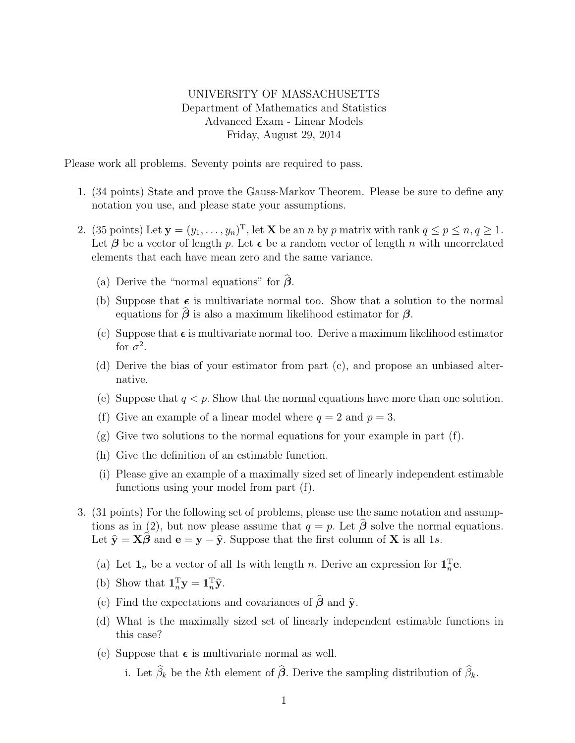## UNIVERSITY OF MASSACHUSETTS Department of Mathematics and Statistics Advanced Exam - Linear Models Friday, August 29, 2014

Please work all problems. Seventy points are required to pass.

- 1. (34 points) State and prove the Gauss-Markov Theorem. Please be sure to define any notation you use, and please state your assumptions.
- 2. (35 points) Let  $\mathbf{y} = (y_1, \ldots, y_n)^T$ , let **X** be an *n* by *p* matrix with rank  $q \leq p \leq n, q \geq 1$ . Let  $\beta$  be a vector of length p. Let  $\epsilon$  be a random vector of length n with uncorrelated elements that each have mean zero and the same variance.
	- (a) Derive the "normal equations" for  $\hat{\beta}$ .
	- (b) Suppose that  $\epsilon$  is multivariate normal too. Show that a solution to the normal equations for  $\beta$  is also a maximum likelihood estimator for  $\beta$ .
	- (c) Suppose that  $\epsilon$  is multivariate normal too. Derive a maximum likelihood estimator for  $\sigma^2$ .
	- (d) Derive the bias of your estimator from part (c), and propose an unbiased alternative.
	- (e) Suppose that  $q < p$ . Show that the normal equations have more than one solution.
	- (f) Give an example of a linear model where  $q = 2$  and  $p = 3$ .
	- $(g)$  Give two solutions to the normal equations for your example in part  $(f)$ .
	- (h) Give the definition of an estimable function.
	- (i) Please give an example of a maximally sized set of linearly independent estimable functions using your model from part (f).
- 3. (31 points) For the following set of problems, please use the same notation and assumptions as in (2), but now please assume that  $q = p$ . Let  $\hat{\boldsymbol{\beta}}$  solve the normal equations. Let  $\hat{\mathbf{y}} = \mathbf{X}\hat{\boldsymbol{\beta}}$  and  $\mathbf{e} = \mathbf{y} - \hat{\mathbf{y}}$ . Suppose that the first column of **X** is all 1s.
	- (a) Let  $\mathbf{1}_n$  be a vector of all 1s with length n. Derive an expression for  $\mathbf{1}_n^{\mathrm{T}}\mathbf{e}$ .
	- (b) Show that  $\mathbf{1}_n^{\mathrm{T}} \mathbf{y} = \mathbf{1}_n^{\mathrm{T}} \hat{\mathbf{y}}$ .
	- (c) Find the expectations and covariances of  $\hat{\boldsymbol{\beta}}$  and  $\hat{\mathbf{y}}$ .
	- (d) What is the maximally sized set of linearly independent estimable functions in this case?
	- (e) Suppose that  $\epsilon$  is multivariate normal as well.

i. Let  $\widehat{\beta}_k$  be the kth element of  $\widehat{\beta}$ . Derive the sampling distribution of  $\widehat{\beta}_k$ .